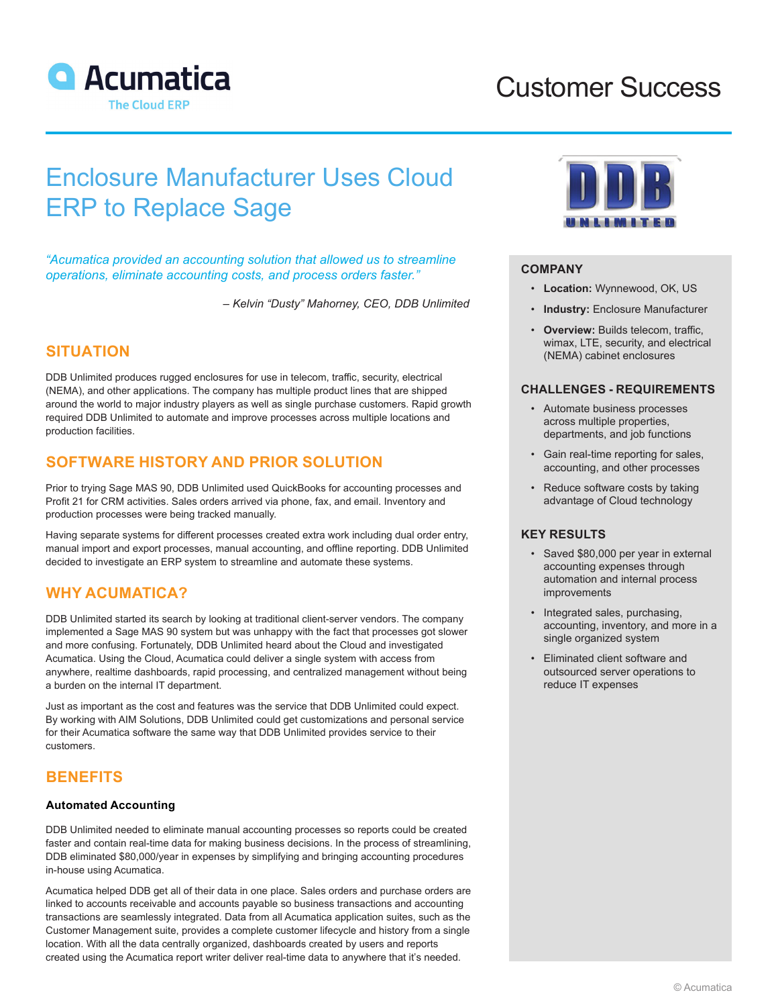

## Customer Success

# Enclosure Manufacturer Uses Cloud ERP to Replace Sage

*"Acumatica provided an accounting solution that allowed us to streamline operations, eliminate accounting costs, and process orders faster."*

*– Kelvin "Dusty" Mahorney, CEO, DDB Unlimited*

## **SITUATION**

DDB Unlimited produces rugged enclosures for use in telecom, traffic, security, electrical (NEMA), and other applications. The company has multiple product lines that are shipped around the world to major industry players as well as single purchase customers. Rapid growth required DDB Unlimited to automate and improve processes across multiple locations and production facilities.

## **SOFTWARE HISTORY AND PRIOR SOLUTION**

Prior to trying Sage MAS 90, DDB Unlimited used QuickBooks for accounting processes and Profit 21 for CRM activities. Sales orders arrived via phone, fax, and email. Inventory and production processes were being tracked manually.

Having separate systems for different processes created extra work including dual order entry, manual import and export processes, manual accounting, and offline reporting. DDB Unlimited decided to investigate an ERP system to streamline and automate these systems.

## **WHY ACUMATICA?**

DDB Unlimited started its search by looking at traditional client-server vendors. The company implemented a Sage MAS 90 system but was unhappy with the fact that processes got slower and more confusing. Fortunately, DDB Unlimited heard about the Cloud and investigated Acumatica. Using the Cloud, Acumatica could deliver a single system with access from anywhere, realtime dashboards, rapid processing, and centralized management without being a burden on the internal IT department.

Just as important as the cost and features was the service that DDB Unlimited could expect. By working with AIM Solutions, DDB Unlimited could get customizations and personal service for their Acumatica software the same way that DDB Unlimited provides service to their customers.

### **BENEFITS**

#### **Automated Accounting**

DDB Unlimited needed to eliminate manual accounting processes so reports could be created faster and contain real-time data for making business decisions. In the process of streamlining, DDB eliminated \$80,000/year in expenses by simplifying and bringing accounting procedures in-house using Acumatica.

Acumatica helped DDB get all of their data in one place. Sales orders and purchase orders are linked to accounts receivable and accounts payable so business transactions and accounting transactions are seamlessly integrated. Data from all Acumatica application suites, such as the Customer Management suite, provides a complete customer lifecycle and history from a single location. With all the data centrally organized, dashboards created by users and reports created using the Acumatica report writer deliver real-time data to anywhere that it's needed.



#### **COMPANY**

- **Location:** Wynnewood, OK, US
- **Industry:** Enclosure Manufacturer
- **Overview: Builds telecom, traffic,** wimax, LTE, security, and electrical (NEMA) cabinet enclosures

#### **CHALLENGES - REQUIREMENTS**

- Automate business processes across multiple properties, departments, and job functions
- Gain real-time reporting for sales, accounting, and other processes
- Reduce software costs by taking advantage of Cloud technology

#### **KEY RESULTS**

- Saved \$80,000 per year in external accounting expenses through automation and internal process improvements
- Integrated sales, purchasing, accounting, inventory, and more in a single organized system
- Eliminated client software and outsourced server operations to reduce IT expenses